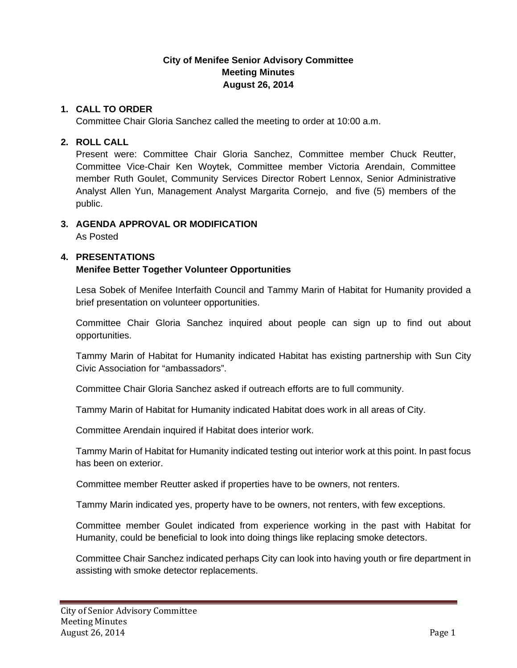## **City of Menifee Senior Advisory Committee Meeting Minutes August 26, 2014**

#### **1. CALL TO ORDER**

Committee Chair Gloria Sanchez called the meeting to order at 10:00 a.m.

#### **2. ROLL CALL**

Present were: Committee Chair Gloria Sanchez, Committee member Chuck Reutter, Committee Vice-Chair Ken Woytek, Committee member Victoria Arendain, Committee member Ruth Goulet, Community Services Director Robert Lennox, Senior Administrative Analyst Allen Yun, Management Analyst Margarita Cornejo, and five (5) members of the public.

#### **3. AGENDA APPROVAL OR MODIFICATION**

As Posted

#### **4. PRESENTATIONS**

### **Menifee Better Together Volunteer Opportunities**

Lesa Sobek of Menifee Interfaith Council and Tammy Marin of Habitat for Humanity provided a brief presentation on volunteer opportunities.

Committee Chair Gloria Sanchez inquired about people can sign up to find out about opportunities.

Tammy Marin of Habitat for Humanity indicated Habitat has existing partnership with Sun City Civic Association for "ambassadors".

Committee Chair Gloria Sanchez asked if outreach efforts are to full community.

Tammy Marin of Habitat for Humanity indicated Habitat does work in all areas of City.

Committee Arendain inquired if Habitat does interior work.

Tammy Marin of Habitat for Humanity indicated testing out interior work at this point. In past focus has been on exterior.

Committee member Reutter asked if properties have to be owners, not renters.

Tammy Marin indicated yes, property have to be owners, not renters, with few exceptions.

Committee member Goulet indicated from experience working in the past with Habitat for Humanity, could be beneficial to look into doing things like replacing smoke detectors.

Committee Chair Sanchez indicated perhaps City can look into having youth or fire department in assisting with smoke detector replacements.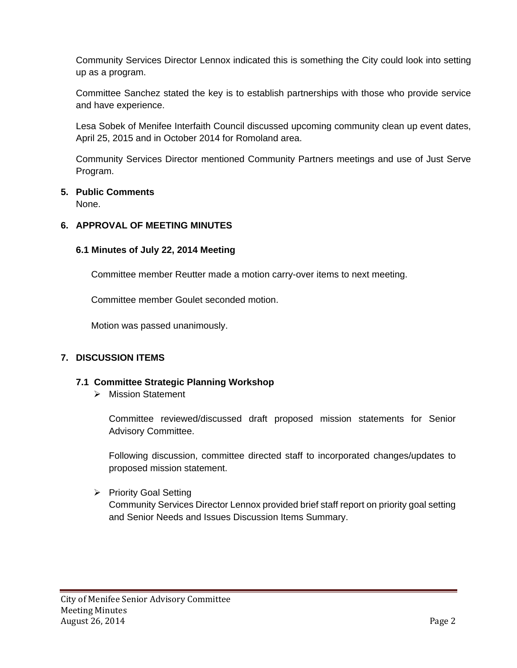Community Services Director Lennox indicated this is something the City could look into setting up as a program.

Committee Sanchez stated the key is to establish partnerships with those who provide service and have experience.

Lesa Sobek of Menifee Interfaith Council discussed upcoming community clean up event dates, April 25, 2015 and in October 2014 for Romoland area.

Community Services Director mentioned Community Partners meetings and use of Just Serve Program.

## **5. Public Comments**

None.

### **6. APPROVAL OF MEETING MINUTES**

### **6.1 Minutes of July 22, 2014 Meeting**

Committee member Reutter made a motion carry-over items to next meeting.

Committee member Goulet seconded motion.

Motion was passed unanimously.

### **7. DISCUSSION ITEMS**

### **7.1 Committee Strategic Planning Workshop**

> Mission Statement

Committee reviewed/discussed draft proposed mission statements for Senior Advisory Committee.

Following discussion, committee directed staff to incorporated changes/updates to proposed mission statement.

▶ Priority Goal Setting

Community Services Director Lennox provided brief staff report on priority goal setting and Senior Needs and Issues Discussion Items Summary.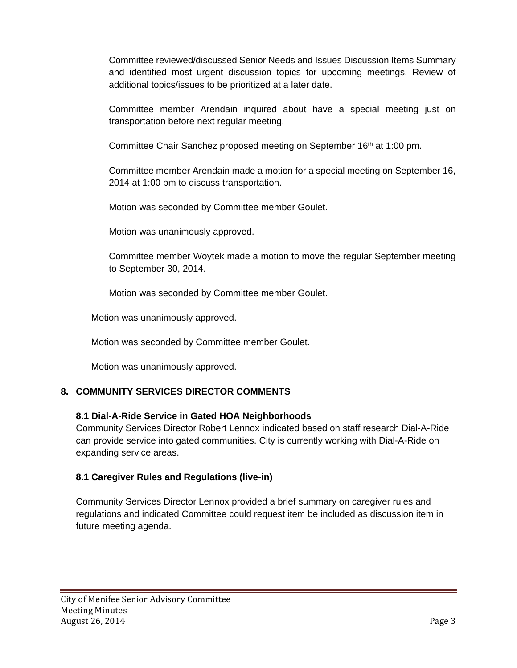Committee reviewed/discussed Senior Needs and Issues Discussion Items Summary and identified most urgent discussion topics for upcoming meetings. Review of additional topics/issues to be prioritized at a later date.

Committee member Arendain inquired about have a special meeting just on transportation before next regular meeting.

Committee Chair Sanchez proposed meeting on September 16<sup>th</sup> at 1:00 pm.

Committee member Arendain made a motion for a special meeting on September 16, 2014 at 1:00 pm to discuss transportation.

Motion was seconded by Committee member Goulet.

Motion was unanimously approved.

Committee member Woytek made a motion to move the regular September meeting to September 30, 2014.

Motion was seconded by Committee member Goulet.

Motion was unanimously approved.

Motion was seconded by Committee member Goulet.

Motion was unanimously approved.

### **8. COMMUNITY SERVICES DIRECTOR COMMENTS**

#### **8.1 Dial-A-Ride Service in Gated HOA Neighborhoods**

Community Services Director Robert Lennox indicated based on staff research Dial-A-Ride can provide service into gated communities. City is currently working with Dial-A-Ride on expanding service areas.

### **8.1 Caregiver Rules and Regulations (live-in)**

Community Services Director Lennox provided a brief summary on caregiver rules and regulations and indicated Committee could request item be included as discussion item in future meeting agenda.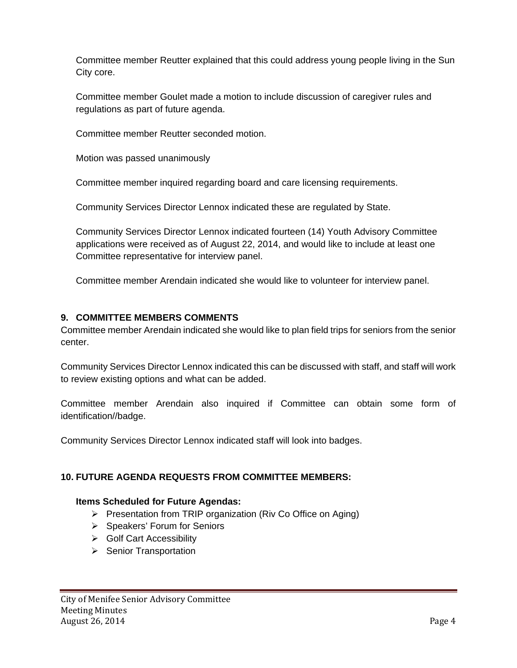Committee member Reutter explained that this could address young people living in the Sun City core.

Committee member Goulet made a motion to include discussion of caregiver rules and regulations as part of future agenda.

Committee member Reutter seconded motion.

Motion was passed unanimously

Committee member inquired regarding board and care licensing requirements.

Community Services Director Lennox indicated these are regulated by State.

Community Services Director Lennox indicated fourteen (14) Youth Advisory Committee applications were received as of August 22, 2014, and would like to include at least one Committee representative for interview panel.

Committee member Arendain indicated she would like to volunteer for interview panel.

# **9. COMMITTEE MEMBERS COMMENTS**

Committee member Arendain indicated she would like to plan field trips for seniors from the senior center.

Community Services Director Lennox indicated this can be discussed with staff, and staff will work to review existing options and what can be added.

Committee member Arendain also inquired if Committee can obtain some form of identification//badge.

Community Services Director Lennox indicated staff will look into badges.

# **10. FUTURE AGENDA REQUESTS FROM COMMITTEE MEMBERS:**

### **Items Scheduled for Future Agendas:**

- $\triangleright$  Presentation from TRIP organization (Riv Co Office on Aging)
- $\triangleright$  Speakers' Forum for Seniors
- **►** Golf Cart Accessibility
- $\triangleright$  Senior Transportation